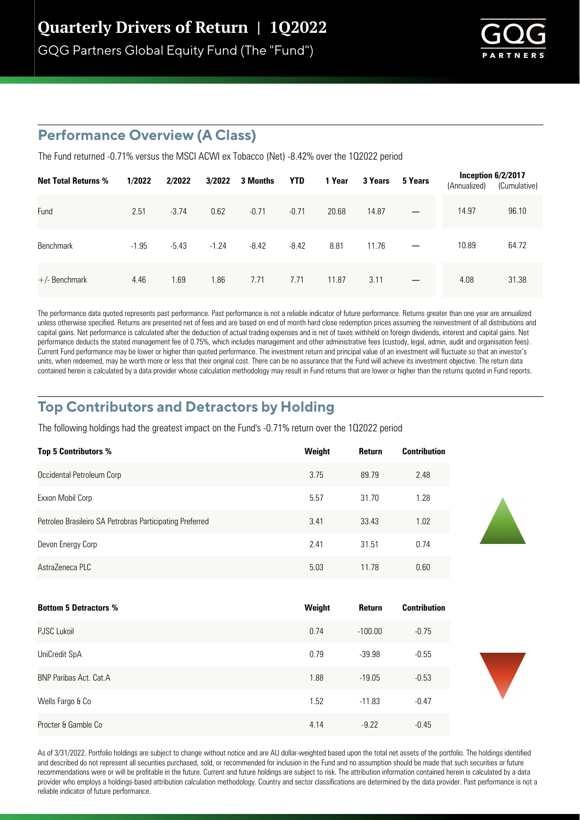GQG Partners Global Equity Fund (The "Fund")



### **Performance Overview (A Class)**

The Fund returned -0.71% versus the MSCI ACWI ex Tobacco (Net) -8.42% over the 1Q2022 period

| <b>Net Total Returns %</b> | 1/2022  | 2/2022  | 3/2022  | 3 Months | <b>YTD</b> | 1 Year | 3 Years | 5 Years           | Inception $6/2/2017$<br>(Annualized) | (Cumulative) |
|----------------------------|---------|---------|---------|----------|------------|--------|---------|-------------------|--------------------------------------|--------------|
| Fund                       | 2.51    | $-3.74$ | 0.62    | $-0.71$  | $-0.71$    | 20.68  | 14.87   |                   | 14.97                                | 96.10        |
| <b>Benchmark</b>           | $-1.95$ | $-5.43$ | $-1.24$ | $-8.42$  | $-8.42$    | 8.81   | 11.76   |                   | 10.89                                | 64.72        |
| $+/-$ Benchmark            | 4.46    | 1.69    | 1.86    | 7.71     | 7.71       | 11.87  | 3.11    | $\qquad \qquad -$ | 4.08                                 | 31.38        |

The performance data quoted represents past performance. Past performance is not a reliable indicator of future performance. Returns greater than one year are annualized unless otherwise specified. Returns are presented net of fees and are based on end of month hard close redemption prices assuming the reinvestment of all distributions and capital gains. Net performance is calculated after the deduction of actual trading expenses and is net of taxes withheld on foreign dividends, interest and capital gains. Net performance deducts the stated management fee of 0.75%, which includes management and other administrative fees (custody, legal, admin, audit and organisation fees). Current Fund performance may be lower or higher than quoted performance. The investment return and principal value of an investment will fluctuate so that an investor's units, when redeemed, may be worth more or less that their original cost. There can be no assurance that the Fund will achieve its investment objective. The return data contained herein is calculated by a data provider whose calculation methodology may result in Fund returns that are lower or higher than the returns quoted in Fund reports.

### **Top Contributors and Detractors by Holding**

The following holdings had the greatest impact on the Fund's -0.71% return over the 102022 period

| <b>Top 5 Contributors %</b>                              | Weight | Return | <b>Contribution</b> |
|----------------------------------------------------------|--------|--------|---------------------|
| Occidental Petroleum Corp                                | 3.75   | 89.79  | 2.48                |
| Exxon Mobil Corp                                         | 5.57   | 31.70  | 1.28                |
| Petroleo Brasileiro SA Petrobras Participating Preferred | 3.41   | 33.43  | 1.02                |
| Devon Energy Corp                                        | 2.41   | 31.51  | 0.74                |
| AstraZeneca PLC                                          | 5.03   | 11.78  | 0.60                |

| <b>Bottom 5 Detractors %</b> | Weight | <b>Return</b> | <b>Contribution</b> |
|------------------------------|--------|---------------|---------------------|
| <b>PJSC Lukoil</b>           | 0.74   | $-100.00$     | $-0.75$             |
| UniCredit SpA                | 0.79   | $-39.98$      | $-0.55$             |
| BNP Paribas Act. Cat.A       | 1.88   | $-19.05$      | $-0.53$             |
| Wells Fargo & Co             | 1.52   | $-11.83$      | $-0.47$             |
| Procter & Gamble Co          | 4.14   | $-9.22$       | $-0.45$             |

As of 3/31/2022. Portfolio holdings are subject to change without notice and are AU dollar-weighted based upon the total net assets of the portfolio. The holdings identified and described do not represent all securities purchased, sold, or recommended for inclusion in the Fund and no assumption should be made that such securities or future recommendations were or will be profitable in the future. Current and future holdings are subject to risk. The attribution information contained herein is calculated by a data provider who employs a holdings-based attribution calculation methodology. Country and sector classifications are determined by the data provider. Past performance is not a reliable indicator of future performance.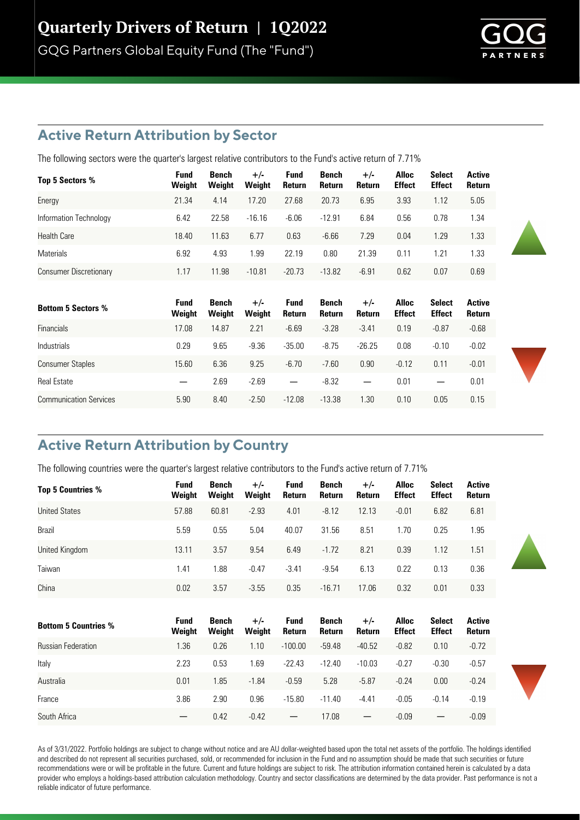GQG Partners Global Equity Fund (The "Fund")



# **Active Return Attribution by Sector**

The following sectors were the quarter's largest relative contributors to the Fund's active return of 7.71%

| Top 5 Sectors %               | Fund<br>Weight | Bench<br>Weight | $+/-$<br>Weight | <b>Fund</b><br>Return | Bench<br><b>Return</b> | $+/-$<br><b>Return</b> | <b>Alloc</b><br><b>Effect</b> | <b>Select</b><br><b>Effect</b> | Active<br>Return |
|-------------------------------|----------------|-----------------|-----------------|-----------------------|------------------------|------------------------|-------------------------------|--------------------------------|------------------|
| Energy                        | 21.34          | 4.14            | 17.20           | 27.68                 | 20.73                  | 6.95                   | 3.93                          | 1.12                           | 5.05             |
| Information Technology        | 6.42           | 22.58           | $-16.16$        | $-6.06$               | $-12.91$               | 6.84                   | 0.56                          | 0.78                           | 1.34             |
| <b>Health Care</b>            | 18.40          | 11.63           | 6.77            | 0.63                  | $-6.66$                | 7.29                   | 0.04                          | 1.29                           | 1.33             |
| <b>Materials</b>              | 6.92           | 4.93            | 1.99            | 22.19                 | 0.80                   | 21.39                  | 0.11                          | 1.21                           | 1.33             |
| <b>Consumer Discretionary</b> | 1.17           | 11.98           | $-10.81$        | $-20.73$              | $-13.82$               | $-6.91$                | 0.62                          | 0.07                           | 0.69             |

| <b>Bottom 5 Sectors %</b>     | Fund<br>Weight | Bench<br>Weight | $+/-$<br>Weight | <b>Fund</b><br>Return    | Bench<br>Return | $+/-$<br>Return          | Alloc<br><b>Effect</b> | <b>Select</b><br><b>Effect</b> | Active<br>Return |
|-------------------------------|----------------|-----------------|-----------------|--------------------------|-----------------|--------------------------|------------------------|--------------------------------|------------------|
| <b>Financials</b>             | 17.08          | 14.87           | 2.21            | $-6.69$                  | $-3.28$         | $-3.41$                  | 0.19                   | $-0.87$                        | $-0.68$          |
| <b>Industrials</b>            | 0.29           | 9.65            | $-9.36$         | $-35.00$                 | $-8.75$         | $-26.25$                 | 0.08                   | $-0.10$                        | $-0.02$          |
| <b>Consumer Staples</b>       | 15.60          | 6.36            | 9.25            | $-6.70$                  | $-7.60$         | 0.90                     | $-0.12$                | 0.11                           | $-0.01$          |
| <b>Real Estate</b>            |                | 2.69            | $-2.69$         | $\overline{\phantom{m}}$ | $-8.32$         | $\overline{\phantom{m}}$ | 0.01                   |                                | 0.01             |
| <b>Communication Services</b> | 5.90           | 8.40            | $-2.50$         | $-12.08$                 | $-13.38$        | l.30                     | 0.10                   | 0.05                           | 0.15             |

# **Active Return Attribution by Country**

The following countries were the quarter's largest relative contributors to the Fund's active return of 7.71%

| <b>Top 5 Countries %</b>    | <b>Fund</b><br>Weight | <b>Bench</b><br>Weight | $+/-$<br>Weight | <b>Fund</b><br>Return    | Bench<br>Return        | $+/-$<br>Return          | <b>Alloc</b><br><b>Effect</b> | <b>Select</b><br><b>Effect</b> | <b>Active</b><br>Return |
|-----------------------------|-----------------------|------------------------|-----------------|--------------------------|------------------------|--------------------------|-------------------------------|--------------------------------|-------------------------|
| <b>United States</b>        | 57.88                 | 60.81                  | $-2.93$         | 4.01                     | $-8.12$                | 12.13                    | $-0.01$                       | 6.82                           | 6.81                    |
| Brazil                      | 5.59                  | 0.55                   | 5.04            | 40.07                    | 31.56                  | 8.51                     | 1.70                          | 0.25                           | 1.95                    |
| United Kingdom              | 13.11                 | 3.57                   | 9.54            | 6.49                     | $-1.72$                | 8.21                     | 0.39                          | 1.12                           | 1.51                    |
| Taiwan                      | 1.41                  | 1.88                   | $-0.47$         | $-3.41$                  | $-9.54$                | 6.13                     | 0.22                          | 0.13                           | 0.36                    |
| China                       | 0.02                  | 3.57                   | $-3.55$         | 0.35                     | $-16.71$               | 17.06                    | 0.32                          | 0.01                           | 0.33                    |
| <b>Bottom 5 Countries %</b> | Fund<br>Weight        | Bench<br>Weight        | $+/-$<br>Weight | <b>Fund</b><br>Return    | <b>Bench</b><br>Return | $+/-$<br>Return          | <b>Alloc</b><br><b>Effect</b> | <b>Select</b><br><b>Effect</b> | <b>Active</b><br>Return |
| <b>Russian Federation</b>   | 1.36                  | 0.26                   | 1.10            | $-100.00$                | $-59.48$               | $-40.52$                 | $-0.82$                       | 0.10                           | $-0.72$                 |
| Italy                       | 2.23                  | 0.53                   | 1.69            | $-22.43$                 | $-12.40$               | $-10.03$                 | $-0.27$                       | $-0.30$                        | $-0.57$                 |
| Australia                   | 0.01                  | 1.85                   | $-1.84$         | $-0.59$                  | 5.28                   | $-5.87$                  | $-0.24$                       | 0.00                           | $-0.24$                 |
| France                      | 3.86                  | 2.90                   | 0.96            | $-15.80$                 | $-11.40$               | $-4.41$                  | $-0.05$                       | $-0.14$                        | $-0.19$                 |
| South Africa                |                       | 0.42                   | $-0.42$         | $\overline{\phantom{0}}$ | 17.08                  | $\overline{\phantom{m}}$ | $-0.09$                       |                                | $-0.09$                 |

As of 3/31/2022. Portfolio holdings are subject to change without notice and are AU dollar-weighted based upon the total net assets of the portfolio. The holdings identified and described do not represent all securities purchased, sold, or recommended for inclusion in the Fund and no assumption should be made that such securities or future recommendations were or will be profitable in the future. Current and future holdings are subject to risk. The attribution information contained herein is calculated by a data provider who employs a holdings-based attribution calculation methodology. Country and sector classifications are determined by the data provider. Past performance is not a reliable indicator of future performance.